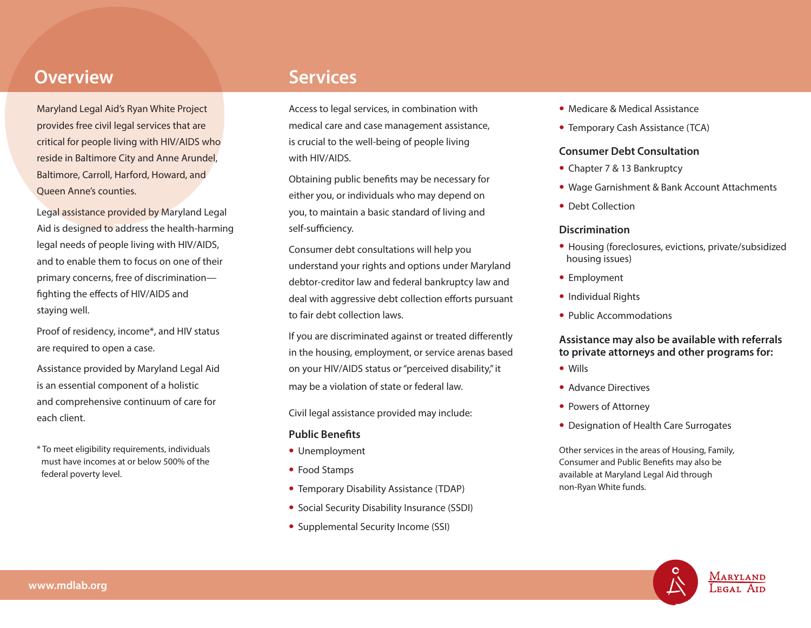## **Overview Services**

Maryland Legal Aid's Ryan White Project provides free civil legal services that are critical for people living with HIV/AIDS who reside in Baltimore City and Anne Arundel, Baltimore, Carroll, Harford, Howard, and Queen Anne's counties.

Legal assistance provided by Maryland Legal Aid is designed to address the health-harming legal needs of people living with HIV/AIDS, and to enable them to focus on one of their primary concerns, free of discrimination fighting the effects of HIV/AIDS and staying well.

Proof of residency, income\*, and HIV status are required to open a case.

Assistance provided by Maryland Legal Aid is an essential component of a holistic and comprehensive continuum of care for each client.

\* To meet eligibility requirements, individuals must have incomes at or below 500% of the federal poverty level.

Access to legal services, in combination with medical care and case management assistance, is crucial to the well-being of people living with HIV/AIDS.

Obtaining public benefits may be necessary for either you, or individuals who may depend on you, to maintain a basic standard of living and self-sufficiency.

Consumer debt consultations will help you understand your rights and options under Maryland debtor-creditor law and federal bankruptcy law and deal with aggressive debt collection efforts pursuant to fair debt collection laws.

If you are discriminated against or treated differently in the housing, employment, or service arenas based on your HIV/AIDS status or "perceived disability," it may be a violation of state or federal law.

Civil legal assistance provided may include:

## **Public Benefits**

- Unemployment
- Food Stamps
- Temporary Disability Assistance (TDAP)
- Social Security Disability Insurance (SSDI)
- Supplemental Security Income (SSI)
- Medicare & Medical Assistance
- Temporary Cash Assistance (TCA)

## **Consumer Debt Consultation**

- Chapter 7 & 13 Bankruptcy
- Wage Garnishment & Bank Account Attachments
- Debt Collection

## **Discrimination**

- Housing (foreclosures, evictions, private/subsidized housing issues)
- Employment
- Individual Rights
- Public Accommodations

## **Assistance may also be available with referrals to private attorneys and other programs for:**

- Wills
- Advance Directives
- Powers of Attorney
- Designation of Health Care Surrogates

Other services in the areas of Housing, Family, Consumer and Public Benefits may also be available at Maryland Legal Aid through non-Ryan White funds.